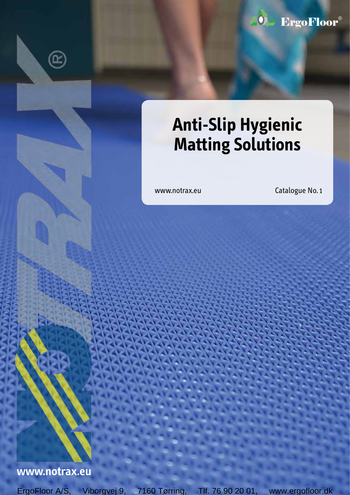

# **Anti-Slip Hygienic Matting Solutions**

www.notrax.eu Catalogue No. 1

## **www.notrax.eu**

 $\mathbf{\widehat{E}}$ 

ErgoFloor A/S, Viborgvej 9, 7160 Tørring, Tlf. 76 90 20 01, www.ergofloor.dk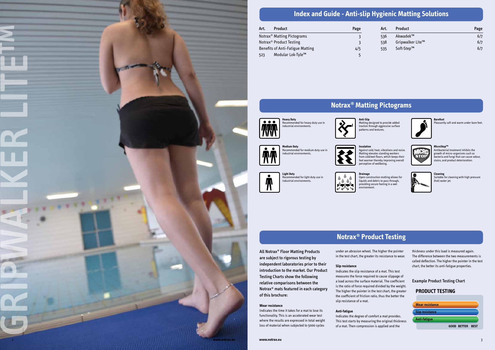

### Recommended for heavy duty use in industrial environments.

Matting designed to provide added traction through aggressive surface patterns and textures.

### **Medium Duty** Recommended for medium duty use in industrial environments.









**Drainage** しついい .<br>environment

**Insulation**

A ▲

Against cold, heat, vibrations and noise. Matting elevates standing workers from cold/wet floors, which keeps their feet warmer thereby improving overall perception of wellbeing.

> Suitable for cleaning with high pressure (hot) water jet.

Open construction matting allows for liquids and debris to pass through, providing secure footing in a wet





Pleasantly soft and warm under bare feet.



### **MicroStop™**

Antibacterial treatment inhibits the growth of micro-organisms such as bacteria and fungi that can cause odour, stains, and product deterioration.



### **Cleaning**

# **Index and Guide - Anti-slip Hygienic Matting Solutions**

# **Notrax® Matting Pictograms**

All Notrax® Floor Matting Products are subject to rigorous testing by independent laboratories prior to their introduction to the market. Our Product Testing Charts show the following relative comparisons between the Notrax® mats featured in each category of this brochure:



### **Wear resistance**



Indicates the time it takes for a mat to lose its functionality. This is an accelerated wear test where the results are expressed in total weight loss of material when subjected to 5000 cycles under an abrasion wheel. The higher the pointer in the test chart, the greater its resistance to wear.

# **Slip resistance**

Indicates the slip resistance of a mat. This test measures the force required to cause slippage of a load across the surface material. The coefficient is the ratio of force required divided by the weight. The higher the pointer in the test chart, the greater the coefficient of friction ratio, thus the better the slip resistance of a mat.

### **Anti-fatigue**

Indicates the degree of comfort a mat provides. This test starts by measuring the original thickness of a mat. Then compression is applied and the

thickness under this load is measured again. The difference between the two measurements is called deflection. The higher the pointer in the test chart, the better its anti-fatigue properties.

### Example Product Testing Chart

### **PRODUCT TESTING**

| Art. | <b>Product</b>                          | Page |
|------|-----------------------------------------|------|
|      | Notrax <sup>®</sup> Matting Pictograms  |      |
|      | Notrax <sup>®</sup> Product Testing     | ર    |
|      | <b>Benefits of Anti-Fatigue Matting</b> | 4/5  |
| 523  | Modular Lok-Tyle™                       | 5    |

| Art. | <b>Product</b>   | Page |
|------|------------------|------|
| 536  | Akwadek™         | 6/7  |
| 538  | Gripwalker Lite™ | 6/7  |
| 535  | Soft-Step™       | 6/7  |

# **Notrax® Product Testing**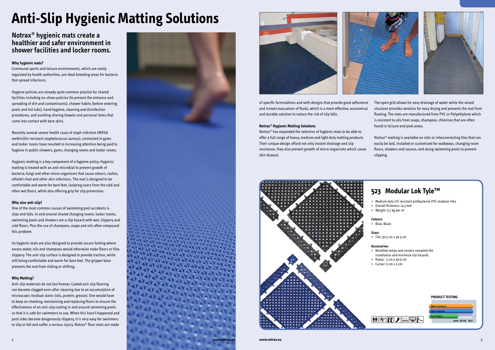## **Notrax® hygienic mats create a healthier and safer environment in shower facilities and locker rooms.**

### **Why hygienic mats?**

Communal sports and leisure environments, which are rarely regulated by health authorities, are ideal breeding areas for bacteria that spread infections.

Hygiene policies are already quite common practice for shared facilities including no-shoes policies (to prevent the entrance and spreading of dirt and contaminants), shower habits (before entering pools and hot tubs), hand hygiene, cleaning and disinfection procedures, and avoiding sharing (towels and personal items that come into contact with bare skin).

Recently several severe health cases of staph infection (MRSA methicillin-resistant staphylococcus aureus), contracted in gyms and locker rooms have resulted in increasing attention being paid to hygiene in public showers, gyms, changing rooms and locker rooms.

Hygienic matting is a key component of a hygiene policy. Hygienic matting is treated with an anti-microbial to prevent growth of bacteria, fungi and other micro-organisms that cause odours, rashes, athlete's foot and other skin infections. The mat is designed to be comfortable and warm for bare feet, isolating users from the cold and often wet floors, while also offering grip for slip prevention.

### **Why also anti-slip?**

One of the most common causes of swimming pool accidents is slips and falls. In and around shared changing rooms, locker rooms, swimming pools and showers are a slip hazard with wet, slippery and cold floors. Plus the use of shampoos, soaps and oils often compound this problem.

So hygienic mats are also designed to provide secure footing where excess water, oils and shampoos would otherwise make floors or tiles slippery. The anti-slip surface is designed to provide traction, while still being comfortable and warm for bare feet. The gripper base prevents the mat from sliding or shifting.

### **Why Matting?**



Anti-slip materials do not last forever. Coated anti-slip flooring can become clogged even after cleaning due to an accumulation of microscopic residual stains (oils, protein, grease). One would have to keep on checking, maintaining and replacing floors to ensure the effectiveness of an anti-slip coating in and around swimming pools so that it is safe for swimmers to use. When this hasn't happened and pool sides become dangerously slippery, it is very easy for swimmers to slip or fall and suffer a serious injury. Notrax® floor mats are made

Notrax® has expanded the selection of hygienic mats to be able to offer a full range of heavy, medium and light duty matting products. Their unique design afford not only instant drainage and slip resistance, they also prevent growth of micro-organisms which cause skin disease.

of specific formulations and with designs that provide good adherence and instant evacuation of fluids, which is a more effective, economical and durable solution to reduce the risk of slip falls. **Notrax® Hygienic Matting Solutions** The open grid allows for easy drainage of water while the raised structure provides aeration for easy drying and prevents the mat from floating. The mats are manufactured from PVC or Polyethylene which is resistant to oils from soaps, shampoos, chlorines that are often found in leisure and pool areas.

# **Anti-Slip Hygienic Matting Solutions**

Notrax® matting is available on rolls or interconnecting tiles that can easily be laid, installed or customized for walkways, changing room floors, showers and saunas, and along swimming pools to prevent slipping.

# **523 Modular Lok Tyle™**

• Medium duty UV resistant antibacterial PVC modular tiles





- 
- 
- 
- 
- 
- 
- • Bevelled ramps and corners complete the installation and minimize trip hazards
- 

### **PRODUCT TESTING**



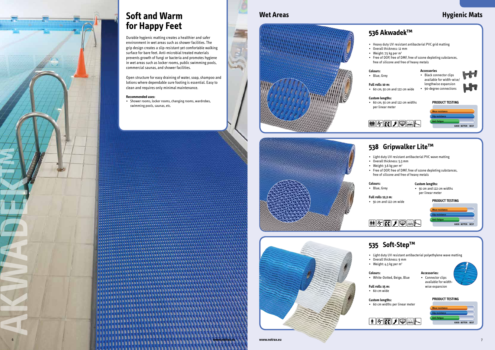# **Soft and Warm Wet Areas Wet Areas Hygienic Mats for Happy Feet**

Durable hygienic matting creates a healthier and safer environment in wet areas such as shower facilities. The grip design creates a slip-resistant yet comfortable walking surface for bare feet. Anti-microbial treated materials prevents growth of fungi or bacteria and promotes hygiene in wet areas such as locker rooms, public swimming pools, commercial saunas, and shower facilities.

Open structure for easy draining of water, soap, shampoo and lotions where dependable sure footing is essential. Easy to clean and requires only minimal maintenance.

### **Recommended uses:**

• Shower rooms, locker rooms, changing rooms, wardrobes, swimming pools, saunas, etc.



 $H_{\text{int}}$